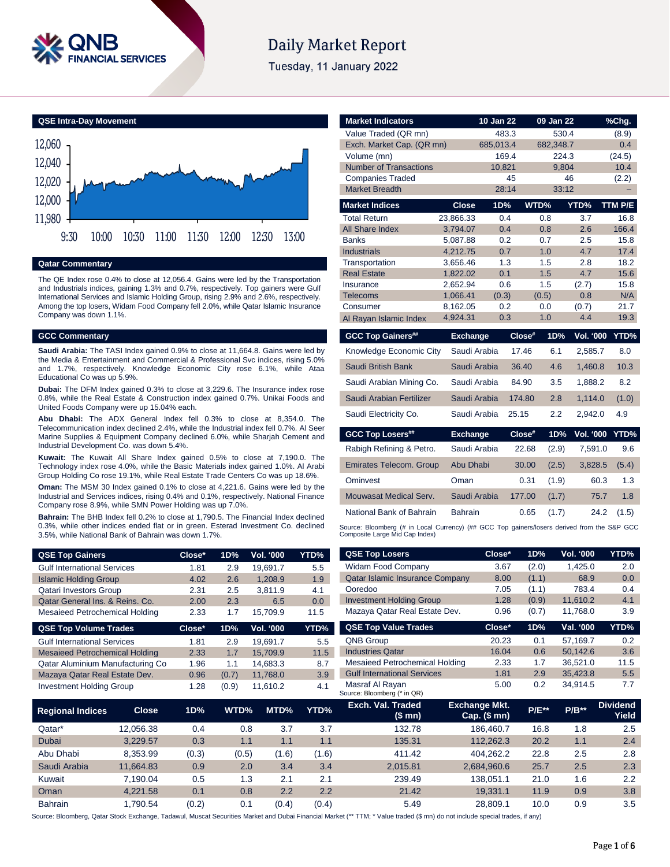

# **Daily Market Report**

Tuesday, 11 January 2022

**QSE Intra-Day Movement**



#### **Qatar Commentary**

The QE Index rose 0.4% to close at 12,056.4. Gains were led by the Transportation and Industrials indices, gaining 1.3% and 0.7%, respectively. Top gainers were Gulf International Services and Islamic Holding Group, rising 2.9% and 2.6%, respectively. Among the top losers, Widam Food Company fell 2.0%, while Qatar Islamic Insurance Company was down 1.1%.

#### **GCC Commentary**

**Saudi Arabia:** The TASI Index gained 0.9% to close at 11,664.8. Gains were led by the Media & Entertainment and Commercial & Professional Svc indices, rising 5.0% and 1.7%, respectively. Knowledge Economic City rose 6.1%, while Ataa Educational Co was up 5.9%.

**Dubai:** The DFM Index gained 0.3% to close at 3,229.6. The Insurance index rose 0.8%, while the Real Estate & Construction index gained 0.7%. Unikai Foods and United Foods Company were up 15.04% each.

**Abu Dhabi:** The ADX General Index fell 0.3% to close at 8,354.0. The Telecommunication index declined 2.4%, while the Industrial index fell 0.7%. Al Seer Marine Supplies & Equipment Company declined 6.0%, while Sharjah Cement and Industrial Development Co. was down 5.4%.

**Kuwait:** The Kuwait All Share Index gained 0.5% to close at 7,190.0. The Technology index rose 4.0%, while the Basic Materials index gained 1.0%. Al Arabi Group Holding Co rose 19.1%, while Real Estate Trade Centers Co was up 18.6%.

**Oman:** The MSM 30 Index gained 0.1% to close at 4,221.6. Gains were led by the Industrial and Services indices, rising 0.4% and 0.1%, respectively. National Finance Company rose 8.9%, while SMN Power Holding was up 7.0%.

**Bahrain:** The BHB Index fell 0.2% to close at 1,790.5. The Financial Index declined 0.3%, while other indices ended flat or in green. Esterad Investment Co. declined 3.5%, while National Bank of Bahrain was down 1.7%.

| <b>QSE Top Gainers</b>             | Close* | 1D% | <b>Vol. '000</b> | YTD% |
|------------------------------------|--------|-----|------------------|------|
| <b>Gulf International Services</b> | 1.81   | 2.9 | 19.691.7         | 5.5  |
| <b>Islamic Holding Group</b>       | 4.02   | 2.6 | 1.208.9          | 1.9  |
| <b>Qatari Investors Group</b>      | 2.31   | 2.5 | 3.811.9          | 4.1  |
| Qatar General Ins. & Reins. Co.    | 2.00   | 2.3 | 6.5              | 0.0  |
| Mesaieed Petrochemical Holding     | 2.33   | 1.7 | 15.709.9         | 11.5 |
|                                    |        |     |                  |      |

| <b>QSE Top Volume Trades</b>          | $Close*$ | 1D%   | <b>Vol. '000</b> | YTD% |
|---------------------------------------|----------|-------|------------------|------|
| <b>Gulf International Services</b>    | 1.81     | 2.9   | 19.691.7         | 5.5  |
| <b>Mesaieed Petrochemical Holding</b> | 2.33     | 1.7   | 15.709.9         | 11.5 |
| Qatar Aluminium Manufacturing Co      | 1.96     | 1.1   | 14.683.3         | 8.7  |
| Mazaya Qatar Real Estate Dev.         | 0.96     | (0.7) | 11.768.0         | 3.9  |
| <b>Investment Holding Group</b>       | 1.28     | (0.9) | 11,610.2         | 4.1  |

| <b>Market Indicators</b>       |                      | 10 Jan 22    |          | 09 Jan 22    |                  | %Chg.       |
|--------------------------------|----------------------|--------------|----------|--------------|------------------|-------------|
| Value Traded (QR mn)           |                      | 483.3        |          | 530.4        |                  | (8.9)       |
| Exch. Market Cap. (QR mn)      |                      | 685,013.4    |          | 682,348.7    |                  | 0.4         |
| Volume (mn)                    |                      | 169.4        |          | 224.3        |                  | (24.5)      |
| <b>Number of Transactions</b>  |                      | 10,821       |          | 9,804        |                  | 10.4        |
| <b>Companies Traded</b>        |                      |              | 45       |              | 46               | (2.2)       |
| <b>Market Breadth</b>          |                      | 28:14        |          | 33:12        |                  |             |
| <b>Market Indices</b>          | <b>Close</b>         | 1D%          |          | WTD%         | YTD%             | TTM P/E     |
| <b>Total Return</b>            | 23.866.33            | 0.4          |          | 0.8          | 3.7              | 16.8        |
| All Share Index                | 3,794.07             | 0.4          |          | 0.8          | 2.6              | 166.4       |
| <b>Banks</b>                   | 5,087.88             | 0.2          |          | 0.7          | 2.5              | 15.8        |
| <b>Industrials</b>             | 4,212.75             | 0.7          |          | 1.0          | 4.7              | 17.4        |
| Transportation                 | 3,656.46             | 1.3          |          | 1.5          | 2.8              | 18.2        |
| <b>Real Estate</b>             | 1,822.02             | 0.1          |          | 1.5          | 4.7              | 15.6        |
| Insurance<br>Telecoms          | 2,652.94<br>1,066.41 | 0.6<br>(0.3) |          | 1.5<br>(0.5) | (2.7)<br>0.8     | 15.8<br>N/A |
| Consumer                       | 8,162.05             | 0.2          |          | 0.0          | (0.7)            | 21.7        |
| Al Rayan Islamic Index         | 4,924.31             | 0.3          |          | 1.0          | 4.4              | 19.3        |
|                                |                      |              |          |              |                  |             |
|                                |                      |              |          |              |                  |             |
| <b>GCC Top Gainers##</b>       | <b>Exchange</b>      |              | Close#   | 1D%          | <b>Vol. '000</b> | YTD%        |
| Knowledge Economic City        | Saudi Arabia         |              | 17.46    | 6.1          | 2.585.7          | 8.0         |
| Saudi British Bank             | Saudi Arabia         |              | 36.40    | 4.6          | 1,460.8          | 10.3        |
| Saudi Arabian Mining Co.       | Saudi Arabia         |              | 84.90    | 3.5          | 1.888.2          | 8.2         |
| Saudi Arabian Fertilizer       | Saudi Arabia         |              | 174.80   | 2.8          | 1,114.0          | (1.0)       |
| Saudi Electricity Co.          | Saudi Arabia         |              | 25.15    | 2.2          | 2,942.0          | 4.9         |
| <b>GCC Top Losers##</b>        | <b>Exchange</b>      |              | $Close*$ | 1D%          | <b>Vol. '000</b> | YTD%        |
| Rabigh Refining & Petro.       | Saudi Arabia         |              | 22.68    | (2.9)        | 7,591.0          | 9.6         |
| <b>Emirates Telecom. Group</b> | Abu Dhabi            |              | 30.00    | (2.5)        | 3,828.5          | (5.4)       |
| Ominvest                       | Oman                 |              | 0.31     | (1.9)        | 60.3             | 1.3         |
| <b>Mouwasat Medical Serv.</b>  | Saudi Arabia         |              | 177.00   | (1.7)        | 75.7             | 1.8         |
| National Bank of Bahrain       | <b>Bahrain</b>       |              | 0.65     | (1.7)        | 24.2             | (1.5)       |

| <b>QSE Top Gainers</b>                |              | Close* | 1D%   | Vol. '000    | YTD%  | <b>QSE Top Losers</b>                          |                                          | Close*    | 1D%      | Vol. '000 | YTD%                            |
|---------------------------------------|--------------|--------|-------|--------------|-------|------------------------------------------------|------------------------------------------|-----------|----------|-----------|---------------------------------|
| <b>Gulf International Services</b>    |              | 1.81   | 2.9   | 19,691.7     | 5.5   | <b>Widam Food Company</b>                      |                                          | 3.67      | (2.0)    | 1,425.0   | 2.0                             |
| <b>Islamic Holding Group</b>          |              | 4.02   | 2.6   | 1,208.9      | 1.9   | Qatar Islamic Insurance Company                |                                          | 8.00      | (1.1)    | 68.9      | 0.0                             |
| <b>Qatari Investors Group</b>         |              | 2.31   | 2.5   | 3,811.9      | 4.1   | Ooredoo                                        |                                          | 7.05      | (1.1)    | 783.4     | 0.4                             |
| Qatar General Ins. & Reins. Co.       |              | 2.00   | 2.3   | 6.5          | 0.0   | <b>Investment Holding Group</b>                |                                          | 1.28      | (0.9)    | 11,610.2  | 4.1                             |
| <b>Mesaieed Petrochemical Holding</b> |              | 2.33   | 1.7   | 15,709.9     | 11.5  | Mazaya Qatar Real Estate Dev.                  |                                          | 0.96      | (0.7)    | 11,768.0  | 3.9                             |
| <b>QSE Top Volume Trades</b>          |              | Close* | 1D%   | Vol. '000    | YTD%  | <b>QSE Top Value Trades</b>                    |                                          | Close*    | 1D%      | Val. '000 | YTD%                            |
| <b>Gulf International Services</b>    |              | 1.81   | 2.9   | 19,691.7     | 5.5   | <b>QNB Group</b>                               |                                          | 20.23     | 0.1      | 57,169.7  | 0.2                             |
| <b>Mesaieed Petrochemical Holding</b> |              | 2.33   | 1.7   | 15,709.9     | 11.5  | <b>Industries Qatar</b>                        |                                          | 16.04     | 0.6      | 50,142.6  | 3.6                             |
| Qatar Aluminium Manufacturing Co      |              | 1.96   | 1.1   | 14,683.3     | 8.7   | Mesaieed Petrochemical Holding                 |                                          | 2.33      | 1.7      | 36,521.0  | 11.5                            |
| Mazaya Qatar Real Estate Dev.         |              | 0.96   | (0.7) | 11,768.0     | 3.9   | <b>Gulf International Services</b>             |                                          | 1.81      | 2.9      | 35,423.8  | 5.5                             |
| <b>Investment Holding Group</b>       |              | 1.28   | (0.9) | 11,610.2     | 4.1   | Masraf Al Rayan<br>Source: Bloomberg (* in QR) |                                          | 5.00      | 0.2      | 34,914.5  | 7.7                             |
| <b>Regional Indices</b>               | <b>Close</b> | 1D%    | WTD%  | MTD%         | YTD%  | Exch. Val. Traded<br>(\$ mn)                   | <b>Exchange Mkt.</b><br>Cap. $($$ mn $)$ |           | $P/E***$ | $P/B**$   | <b>Dividend</b><br><b>Yield</b> |
| Qatar*                                | 12,056.38    | 0.4    |       | 3.7<br>0.8   | 3.7   | 132.78                                         |                                          | 186,460.7 | 16.8     | 1.8       | 2.5                             |
| Dubai                                 | 3,229.57     | 0.3    |       | 1.1<br>1.1   | 1.1   | 135.31                                         |                                          | 112,262.3 | 20.2     | 1.1       | 2.4                             |
| Abu Dhabi                             | 8,353.99     | (0.3)  | (0.5) | (1.6)        | (1.6) | 411.42                                         |                                          | 404,262.2 | 22.8     | 2.5       | 2.8                             |
| Saudi Arabia                          | 11,664.83    | 0.9    |       | 2.0<br>3.4   | 3.4   | 2,015.81                                       | 2,684,960.6                              |           | 25.7     | 2.5       | 2.3                             |
| Kuwait                                | 7,190.04     | 0.5    |       | 1.3<br>2.1   | 2.1   | 239.49                                         | 138,051.1                                |           | 21.0     | 1.6       | $2.2\phantom{0}$                |
| Oman                                  | 4,221.58     | 0.1    |       | 2.2<br>0.8   | 2.2   | 21.42                                          |                                          | 19,331.1  | 11.9     | 0.9       | 3.8                             |
| Bahrain                               | 1,790.54     | (0.2)  |       | 0.1<br>(0.4) | (0.4) | 5.49                                           |                                          | 28,809.1  | 10.0     | 0.9       | 3.5                             |

Source: Bloomberg, Qatar Stock Exchange, Tadawul, Muscat Securities Market and Dubai Financial Market (\*\* TTM; \* Value traded (\$ mn) do not include special trades, if any)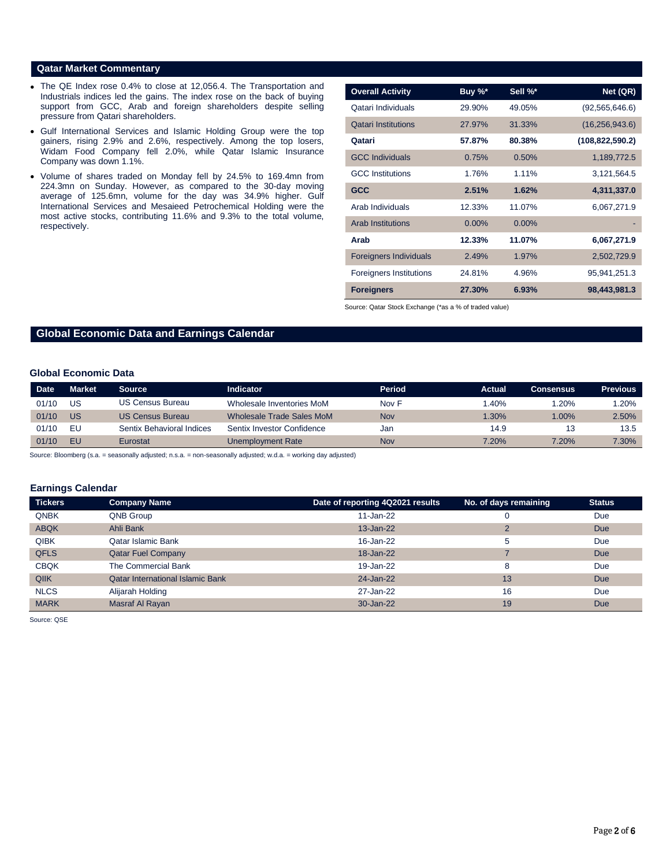#### **Qatar Market Commentary**

- The QE Index rose 0.4% to close at 12,056.4. The Transportation and Industrials indices led the gains. The index rose on the back of buying support from GCC, Arab and foreign shareholders despite selling pressure from Qatari shareholders.
- Gulf International Services and Islamic Holding Group were the top gainers, rising 2.9% and 2.6%, respectively. Among the top losers, Widam Food Company fell 2.0%, while Qatar Islamic Insurance Company was down 1.1%.
- Volume of shares traded on Monday fell by 24.5% to 169.4mn from 224.3mn on Sunday. However, as compared to the 30-day moving average of 125.6mn, volume for the day was 34.9% higher. Gulf International Services and Mesaieed Petrochemical Holding were the most active stocks, contributing 11.6% and 9.3% to the total volume, respectively.

| <b>Overall Activity</b>        | Buy %* | Sell %* | Net (QR)          |
|--------------------------------|--------|---------|-------------------|
| Qatari Individuals             | 29.90% | 49.05%  | (92, 565, 646.6)  |
| <b>Qatari Institutions</b>     | 27.97% | 31.33%  | (16, 256, 943.6)  |
| Oatari                         | 57.87% | 80.38%  | (108, 822, 590.2) |
| <b>GCC Individuals</b>         | 0.75%  | 0.50%   | 1,189,772.5       |
| <b>GCC</b> Institutions        | 1.76%  | 1.11%   | 3,121,564.5       |
| <b>GCC</b>                     | 2.51%  | 1.62%   | 4,311,337.0       |
| Arab Individuals               | 12.33% | 11.07%  | 6,067,271.9       |
| <b>Arab Institutions</b>       | 0.00%  | 0.00%   |                   |
| Arab                           | 12.33% | 11.07%  | 6,067,271.9       |
| <b>Foreigners Individuals</b>  | 2.49%  | 1.97%   | 2,502,729.9       |
| <b>Foreigners Institutions</b> | 24.81% | 4.96%   | 95,941,251.3      |
| <b>Foreigners</b>              | 27.30% | 6.93%   | 98,443,981.3      |

Source: Qatar Stock Exchange (\*as a % of traded value)

## **Global Economic Data and Earnings Calendar**

### **Global Economic Data**

| <b>Date</b> | <b>Market</b> | <b>Source</b>             | <b>Indicator</b>           | Period | Actual | <b>Consensus</b> | <b>Previous</b> |
|-------------|---------------|---------------------------|----------------------------|--------|--------|------------------|-----------------|
| 01/10       | US            | <b>US Census Bureau</b>   | Wholesale Inventories MoM  | Nov F  | .40%   | .20%             | $1.20\%$        |
| 01/10       | US            | <b>US Census Bureau</b>   | Wholesale Trade Sales MoM  | Nov    | 1.30%  | $1.00\%$         | 2.50%           |
| 01/10       | ΕU            | Sentix Behavioral Indices | Sentix Investor Confidence | Jan    | 14.9   | 13.              | 13.5            |
| 01/10       | EU.           | Eurostat                  | Unemployment Rate          | Nov    | 7.20%  | 7.20%            | 7.30%           |

Source: Bloomberg (s.a. = seasonally adjusted; n.s.a. = non-seasonally adjusted; w.d.a. = working day adjusted)

#### **Earnings Calendar**

| <b>Tickers</b> | <b>Company Name</b>                     | Date of reporting 4Q2021 results | No. of days remaining | <b>Status</b> |
|----------------|-----------------------------------------|----------------------------------|-----------------------|---------------|
| <b>QNBK</b>    | QNB Group                               | 11-Jan-22                        | υ                     | Due           |
| <b>ABQK</b>    | Ahli Bank                               | 13-Jan-22                        | $\overline{2}$        | Due           |
| <b>QIBK</b>    | Qatar Islamic Bank                      | 16-Jan-22                        | 5                     | Due           |
| <b>QFLS</b>    | <b>Qatar Fuel Company</b>               | 18-Jan-22                        |                       | Due           |
| <b>CBQK</b>    | The Commercial Bank                     | 19-Jan-22                        | 8                     | Due           |
| QIIK           | <b>Oatar International Islamic Bank</b> | 24-Jan-22                        | 13                    | Due           |
| <b>NLCS</b>    | Alijarah Holding                        | 27-Jan-22                        | 16                    | Due           |
| <b>MARK</b>    | Masraf Al Rayan                         | 30-Jan-22                        | 19                    | Due           |

Source: QSE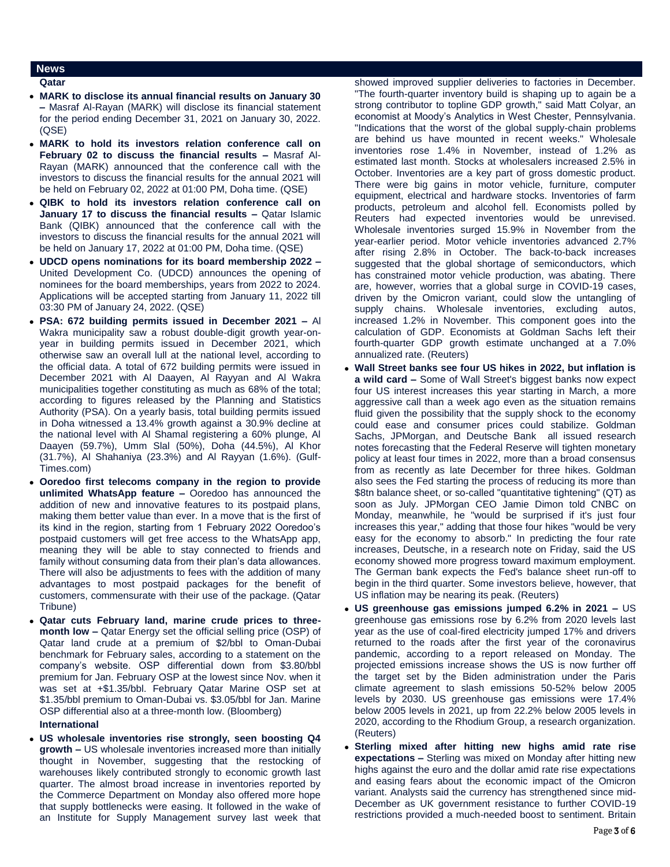### **News**

#### **Qatar**

- **MARK to disclose its annual financial results on January 30 –** Masraf Al-Rayan (MARK) will disclose its financial statement for the period ending December 31, 2021 on January 30, 2022. (QSE)
- **MARK to hold its investors relation conference call on February 02 to discuss the financial results –** Masraf Al-Rayan (MARK) announced that the conference call with the investors to discuss the financial results for the annual 2021 will be held on February 02, 2022 at 01:00 PM, Doha time. (QSE)
- **QIBK to hold its investors relation conference call on January 17 to discuss the financial results –** Qatar Islamic Bank (QIBK) announced that the conference call with the investors to discuss the financial results for the annual 2021 will be held on January 17, 2022 at 01:00 PM, Doha time. (QSE)
- **UDCD opens nominations for its board membership 2022 –** United Development Co. (UDCD) announces the opening of nominees for the board memberships, years from 2022 to 2024. Applications will be accepted starting from January 11, 2022 till 03:30 PM of January 24, 2022. (QSE)
- **PSA: 672 building permits issued in December 2021 –** Al Wakra municipality saw a robust double-digit growth year-onyear in building permits issued in December 2021, which otherwise saw an overall lull at the national level, according to the official data. A total of 672 building permits were issued in December 2021 with Al Daayen, Al Rayyan and Al Wakra municipalities together constituting as much as 68% of the total; according to figures released by the Planning and Statistics Authority (PSA). On a yearly basis, total building permits issued in Doha witnessed a 13.4% growth against a 30.9% decline at the national level with Al Shamal registering a 60% plunge, Al Daayen (59.7%), Umm Slal (50%), Doha (44.5%), Al Khor (31.7%), Al Shahaniya (23.3%) and Al Rayyan (1.6%). (Gulf-Times.com)
- **Ooredoo first telecoms company in the region to provide unlimited WhatsApp feature –** Ooredoo has announced the addition of new and innovative features to its postpaid plans, making them better value than ever. In a move that is the first of its kind in the region, starting from 1 February 2022 Ooredoo's postpaid customers will get free access to the WhatsApp app, meaning they will be able to stay connected to friends and family without consuming data from their plan's data allowances. There will also be adjustments to fees with the addition of many advantages to most postpaid packages for the benefit of customers, commensurate with their use of the package. (Qatar Tribune)
- **Qatar cuts February land, marine crude prices to threemonth low –** Qatar Energy set the official selling price (OSP) of Qatar land crude at a premium of \$2/bbl to Oman-Dubai benchmark for February sales, according to a statement on the company's website. OSP differential down from \$3.80/bbl premium for Jan. February OSP at the lowest since Nov. when it was set at +\$1.35/bbl. February Qatar Marine OSP set at \$1.35/bbl premium to Oman-Dubai vs. \$3.05/bbl for Jan. Marine OSP differential also at a three-month low. (Bloomberg)

#### **International**

 **US wholesale inventories rise strongly, seen boosting Q4 growth –** US wholesale inventories increased more than initially thought in November, suggesting that the restocking of warehouses likely contributed strongly to economic growth last quarter. The almost broad increase in inventories reported by the Commerce Department on Monday also offered more hope that supply bottlenecks were easing. It followed in the wake of an Institute for Supply Management survey last week that showed improved supplier deliveries to factories in December. "The fourth-quarter inventory build is shaping up to again be a strong contributor to topline GDP growth," said Matt Colyar, an economist at Moody's Analytics in West Chester, Pennsylvania. "Indications that the worst of the global supply-chain problems are behind us have mounted in recent weeks." Wholesale inventories rose 1.4% in November, instead of 1.2% as estimated last month. Stocks at wholesalers increased 2.5% in October. Inventories are a key part of gross domestic product. There were big gains in motor vehicle, furniture, computer equipment, electrical and hardware stocks. Inventories of farm products, petroleum and alcohol fell. Economists polled by Reuters had expected inventories would be unrevised. Wholesale inventories surged 15.9% in November from the year-earlier period. Motor vehicle inventories advanced 2.7% after rising 2.8% in October. The back-to-back increases suggested that the global shortage of semiconductors, which has constrained motor vehicle production, was abating. There are, however, worries that a global surge in COVID-19 cases, driven by the Omicron variant, could slow the untangling of supply chains. Wholesale inventories, excluding autos, increased 1.2% in November. This component goes into the calculation of GDP. Economists at Goldman Sachs left their fourth-quarter GDP growth estimate unchanged at a 7.0% annualized rate. (Reuters)

- **Wall Street banks see four US hikes in 2022, but inflation is a wild card –** Some of Wall Street's biggest banks now expect four US interest increases this year starting in March, a more aggressive call than a week ago even as the situation remains fluid given the possibility that the supply shock to the economy could ease and consumer prices could stabilize. Goldman Sachs, JPMorgan, and Deutsche Bank all issued research notes forecasting that the Federal Reserve will tighten monetary policy at least four times in 2022, more than a broad consensus from as recently as late December for three hikes. Goldman also sees the Fed starting the process of reducing its more than \$8tn balance sheet, or so-called "quantitative tightening" (QT) as soon as July. JPMorgan CEO Jamie Dimon told CNBC on Monday, meanwhile, he "would be surprised if it's just four increases this year," adding that those four hikes "would be very easy for the economy to absorb." In predicting the four rate increases, Deutsche, in a research note on Friday, said the US economy showed more progress toward maximum employment. The German bank expects the Fed's balance sheet run-off to begin in the third quarter. Some investors believe, however, that US inflation may be nearing its peak. (Reuters)
- **US greenhouse gas emissions jumped 6.2% in 2021 –** US greenhouse gas emissions rose by 6.2% from 2020 levels last year as the use of coal-fired electricity jumped 17% and drivers returned to the roads after the first year of the coronavirus pandemic, according to a report released on Monday. The projected emissions increase shows the US is now further off the target set by the Biden administration under the Paris climate agreement to slash emissions 50-52% below 2005 levels by 2030. US greenhouse gas emissions were 17.4% below 2005 levels in 2021, up from 22.2% below 2005 levels in 2020, according to the Rhodium Group, a research organization. (Reuters)
- **Sterling mixed after hitting new highs amid rate rise expectations –** Sterling was mixed on Monday after hitting new highs against the euro and the dollar amid rate rise expectations and easing fears about the economic impact of the Omicron variant. Analysts said the currency has strengthened since mid-December as UK government resistance to further COVID-19 restrictions provided a much-needed boost to sentiment. Britain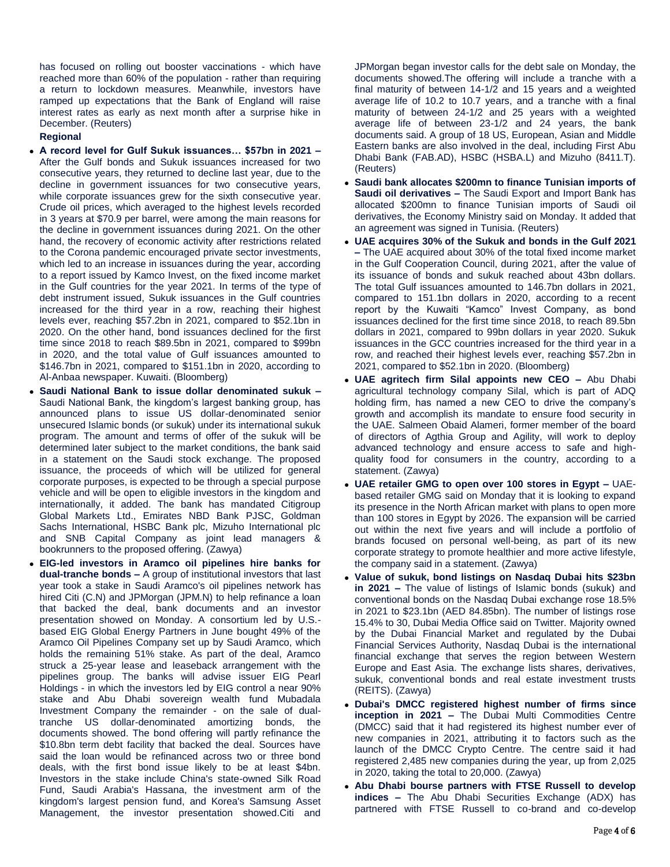has focused on rolling out booster vaccinations - which have reached more than 60% of the population - rather than requiring a return to lockdown measures. Meanwhile, investors have ramped up expectations that the Bank of England will raise interest rates as early as next month after a surprise hike in December. (Reuters)

#### **Regional**

- **A record level for Gulf Sukuk issuances… \$57bn in 2021**  After the Gulf bonds and Sukuk issuances increased for two consecutive years, they returned to decline last year, due to the decline in government issuances for two consecutive years, while corporate issuances grew for the sixth consecutive year. Crude oil prices, which averaged to the highest levels recorded in 3 years at \$70.9 per barrel, were among the main reasons for the decline in government issuances during 2021. On the other hand, the recovery of economic activity after restrictions related to the Corona pandemic encouraged private sector investments, which led to an increase in issuances during the year, according to a report issued by Kamco Invest, on the fixed income market in the Gulf countries for the year 2021. In terms of the type of debt instrument issued, Sukuk issuances in the Gulf countries increased for the third year in a row, reaching their highest levels ever, reaching \$57.2bn in 2021, compared to \$52.1bn in 2020. On the other hand, bond issuances declined for the first time since 2018 to reach \$89.5bn in 2021, compared to \$99bn in 2020, and the total value of Gulf issuances amounted to \$146.7bn in 2021, compared to \$151.1bn in 2020, according to Al-Anbaa newspaper. Kuwaiti. (Bloomberg)
- **Saudi National Bank to issue dollar denominated sukuk –** Saudi National Bank, the kingdom's largest banking group, has announced plans to issue US dollar-denominated senior unsecured Islamic bonds (or sukuk) under its international sukuk program. The amount and terms of offer of the sukuk will be determined later subject to the market conditions, the bank said in a statement on the Saudi stock exchange. The proposed issuance, the proceeds of which will be utilized for general corporate purposes, is expected to be through a special purpose vehicle and will be open to eligible investors in the kingdom and internationally, it added. The bank has mandated Citigroup Global Markets Ltd., Emirates NBD Bank PJSC, Goldman Sachs International, HSBC Bank plc, Mizuho International plc and SNB Capital Company as joint lead managers & bookrunners to the proposed offering. (Zawya)
- **EIG-led investors in Aramco oil pipelines hire banks for dual-tranche bonds –** A group of institutional investors that last year took a stake in Saudi Aramco's oil pipelines network has hired Citi (C.N) and JPMorgan (JPM.N) to help refinance a loan that backed the deal, bank documents and an investor presentation showed on Monday. A consortium led by U.S. based EIG Global Energy Partners in June bought 49% of the Aramco Oil Pipelines Company set up by Saudi Aramco, which holds the remaining 51% stake. As part of the deal, Aramco struck a 25-year lease and leaseback arrangement with the pipelines group. The banks will advise issuer EIG Pearl Holdings - in which the investors led by EIG control a near 90% stake and Abu Dhabi sovereign wealth fund Mubadala Investment Company the remainder - on the sale of dualtranche US dollar-denominated amortizing bonds, the documents showed. The bond offering will partly refinance the \$10.8bn term debt facility that backed the deal. Sources have said the loan would be refinanced across two or three bond deals, with the first bond issue likely to be at least \$4bn. Investors in the stake include China's state-owned Silk Road Fund, Saudi Arabia's Hassana, the investment arm of the kingdom's largest pension fund, and Korea's Samsung Asset Management, the investor presentation showed.Citi and

JPMorgan began investor calls for the debt sale on Monday, the documents showed.The offering will include a tranche with a final maturity of between 14-1/2 and 15 years and a weighted average life of 10.2 to 10.7 years, and a tranche with a final maturity of between 24-1/2 and 25 years with a weighted average life of between 23-1/2 and 24 years, the bank documents said. A group of 18 US, European, Asian and Middle Eastern banks are also involved in the deal, including First Abu Dhabi Bank (FAB.AD), HSBC (HSBA.L) and Mizuho (8411.T). (Reuters)

- **Saudi bank allocates \$200mn to finance Tunisian imports of Saudi oil derivatives –** The Saudi Export and Import Bank has allocated \$200mn to finance Tunisian imports of Saudi oil derivatives, the Economy Ministry said on Monday. It added that an agreement was signed in Tunisia. (Reuters)
- **UAE acquires 30% of the Sukuk and bonds in the Gulf 2021 –** The UAE acquired about 30% of the total fixed income market in the Gulf Cooperation Council, during 2021, after the value of its issuance of bonds and sukuk reached about 43bn dollars. The total Gulf issuances amounted to 146.7bn dollars in 2021, compared to 151.1bn dollars in 2020, according to a recent report by the Kuwaiti "Kamco" Invest Company, as bond issuances declined for the first time since 2018, to reach 89.5bn dollars in 2021, compared to 99bn dollars in year 2020. Sukuk issuances in the GCC countries increased for the third year in a row, and reached their highest levels ever, reaching \$57.2bn in 2021, compared to \$52.1bn in 2020. (Bloomberg)
- **UAE agritech firm Silal appoints new CEO –** Abu Dhabi agricultural technology company Silal, which is part of ADQ holding firm, has named a new CEO to drive the company's growth and accomplish its mandate to ensure food security in the UAE. Salmeen Obaid Alameri, former member of the board of directors of Agthia Group and Agility, will work to deploy advanced technology and ensure access to safe and highquality food for consumers in the country, according to a statement. (Zawya)
- **UAE retailer GMG to open over 100 stores in Egypt –** UAEbased retailer GMG said on Monday that it is looking to expand its presence in the North African market with plans to open more than 100 stores in Egypt by 2026. The expansion will be carried out within the next five years and will include a portfolio of brands focused on personal well-being, as part of its new corporate strategy to promote healthier and more active lifestyle, the company said in a statement. (Zawya)
- **Value of sukuk, bond listings on Nasdaq Dubai hits \$23bn in 2021 –** The value of listings of Islamic bonds (sukuk) and conventional bonds on the Nasdaq Dubai exchange rose 18.5% in 2021 to \$23.1bn (AED 84.85bn). The number of listings rose 15.4% to 30, Dubai Media Office said on Twitter. Majority owned by the Dubai Financial Market and regulated by the Dubai Financial Services Authority, Nasdaq Dubai is the international financial exchange that serves the region between Western Europe and East Asia. The exchange lists shares, derivatives, sukuk, conventional bonds and real estate investment trusts (REITS). (Zawya)
- **Dubai's DMCC registered highest number of firms since inception in 2021 –** The Dubai Multi Commodities Centre (DMCC) said that it had registered its highest number ever of new companies in 2021, attributing it to factors such as the launch of the DMCC Crypto Centre. The centre said it had registered 2,485 new companies during the year, up from 2,025 in 2020, taking the total to 20,000. (Zawya)
- **Abu Dhabi bourse partners with FTSE Russell to develop indices –** The Abu Dhabi Securities Exchange (ADX) has partnered with FTSE Russell to co-brand and co-develop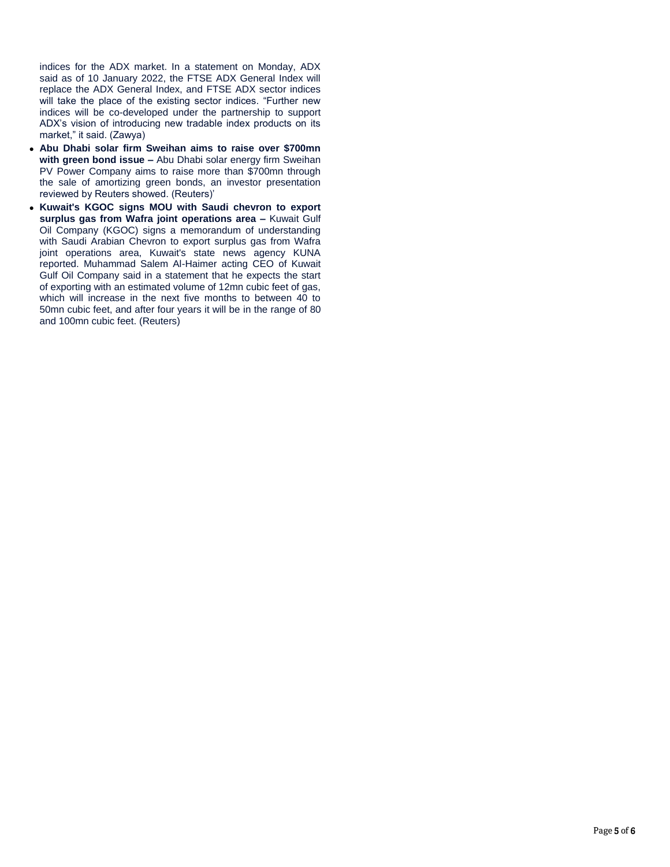indices for the ADX market. In a statement on Monday, ADX said as of 10 January 2022, the FTSE ADX General Index will replace the ADX General Index, and FTSE ADX sector indices will take the place of the existing sector indices. "Further new indices will be co-developed under the partnership to support ADX's vision of introducing new tradable index products on its market," it said. (Zawya)

- **Abu Dhabi solar firm Sweihan aims to raise over \$700mn with green bond issue –** Abu Dhabi solar energy firm Sweihan PV Power Company aims to raise more than \$700mn through the sale of amortizing green bonds, an investor presentation reviewed by Reuters showed. (Reuters)'
- **Kuwait's KGOC signs MOU with Saudi chevron to export surplus gas from Wafra joint operations area –** Kuwait Gulf Oil Company (KGOC) signs a memorandum of understanding with Saudi Arabian Chevron to export surplus gas from Wafra joint operations area, Kuwait's state news agency KUNA reported. Muhammad Salem Al-Haimer acting CEO of Kuwait Gulf Oil Company said in a statement that he expects the start of exporting with an estimated volume of 12mn cubic feet of gas, which will increase in the next five months to between 40 to 50mn cubic feet, and after four years it will be in the range of 80 and 100mn cubic feet. (Reuters)